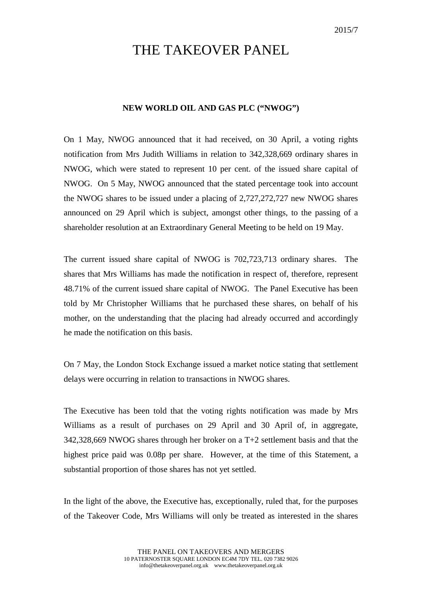## THE TAKEOVER PANEL

## **NEW WORLD OIL AND GAS PLC ("NWOG")**

On 1 May, NWOG announced that it had received, on 30 April, a voting rights notification from Mrs Judith Williams in relation to 342,328,669 ordinary shares in NWOG, which were stated to represent 10 per cent. of the issued share capital of NWOG. On 5 May, NWOG announced that the stated percentage took into account the NWOG shares to be issued under a placing of 2,727,272,727 new NWOG shares announced on 29 April which is subject, amongst other things, to the passing of a shareholder resolution at an Extraordinary General Meeting to be held on 19 May.

The current issued share capital of NWOG is 702,723,713 ordinary shares. The shares that Mrs Williams has made the notification in respect of, therefore, represent 48.71% of the current issued share capital of NWOG. The Panel Executive has been told by Mr Christopher Williams that he purchased these shares, on behalf of his mother, on the understanding that the placing had already occurred and accordingly he made the notification on this basis.

On 7 May, the London Stock Exchange issued a market notice stating that settlement delays were occurring in relation to transactions in NWOG shares.

The Executive has been told that the voting rights notification was made by Mrs Williams as a result of purchases on 29 April and 30 April of, in aggregate, 342,328,669 NWOG shares through her broker on a T+2 settlement basis and that the highest price paid was 0.08p per share. However, at the time of this Statement, a substantial proportion of those shares has not yet settled.

In the light of the above, the Executive has, exceptionally, ruled that, for the purposes of the Takeover Code, Mrs Williams will only be treated as interested in the shares